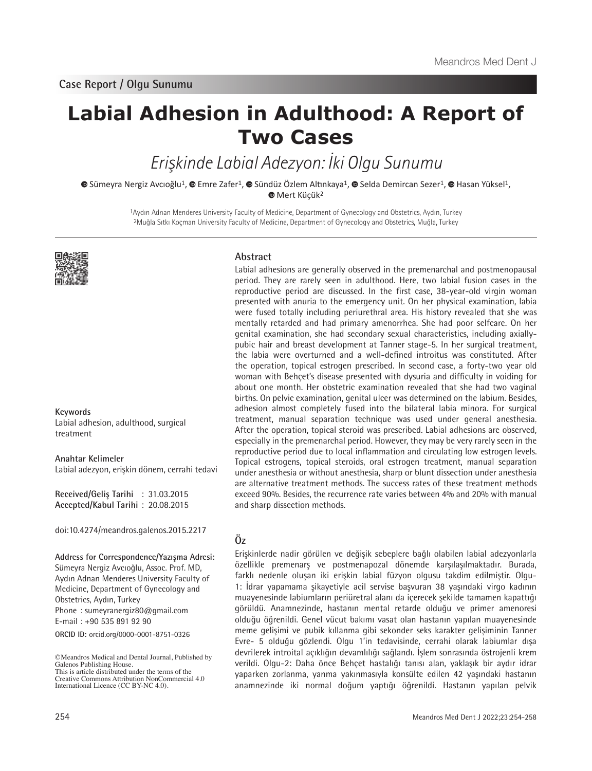# **Labial Adhesion in Adulthood: A Report of Two Cases**

Erişkinde Labial Adezyon: İki Olgu Sunumu

 $\bullet$ Sümeyra Nergiz Avcıoğlu<sup>1</sup>,  $\bullet$  Emre Zafer<sup>1</sup>,  $\bullet$  Sündüz Özlem Altınkaya<sup>1</sup>,  $\bullet$  Selda Demircan Sezer<sup>1</sup>,  $\bullet$  Hasan Yüksel<sup>1</sup>, **Mert Küçük<sup>2</sup>** 

> 1Aydın Adnan Menderes University Faculty of Medicine, Department of Gynecology and Obstetrics, Aydın, Turkey 2Muğla Sıtkı Koçman University Faculty of Medicine, Department of Gynecology and Obstetrics, Muğla, Turkey



**Keywords** Labial adhesion, adulthood, surgical treatment

**Anahtar Kelimeler** Labial adezyon, erişkin dönem, cerrahi tedavi

**Received/Geliş Tarihi** : 31.03.2015 **Accepted/Kabul Tarihi** : 20.08.2015

doi:10.4274/meandros.galenos.2015.2217

**Address for Correspondence/Yazışma Adresi:** Sümeyra Nergiz Avcıoğlu, Assoc. Prof. MD, Aydın Adnan Menderes University Faculty of Medicine, Department of Gynecology and Obstetrics, Aydın, Turkey Phone : sumeyranergiz80@gmail.com E-mail : +90 535 891 92 90

**ORCID ID:** orcid.org/0000-0001-8751-0326

©Meandros Medical and Dental Journal, Published by Galenos Publishing House. This is article distributed under the terms of the

#### **Abstract**

Labial adhesions are generally observed in the premenarchal and postmenopausal period. They are rarely seen in adulthood. Here, two labial fusion cases in the reproductive period are discussed. In the first case, 38-year-old virgin woman presented with anuria to the emergency unit. On her physical examination, labia were fused totally including periurethral area. His history revealed that she was mentally retarded and had primary amenorrhea. She had poor selfcare. On her genital examination, she had secondary sexual characteristics, including axiallypubic hair and breast development at Tanner stage-5. In her surgical treatment, the labia were overturned and a well-defined introitus was constituted. After the operation, topical estrogen prescribed. In second case, a forty-two year old woman with Behçet's disease presented with dysuria and difficulty in voiding for about one month. Her obstetric examination revealed that she had two vaginal births. On pelvic examination, genital ulcer was determined on the labium. Besides, adhesion almost completely fused into the bilateral labia minora. For surgical treatment, manual separation technique was used under general anesthesia. After the operation, topical steroid was prescribed. Labial adhesions are observed, especially in the premenarchal period. However, they may be very rarely seen in the reproductive period due to local inflammation and circulating low estrogen levels. Topical estrogens, topical steroids, oral estrogen treatment, manual separation under anesthesia or without anesthesia, sharp or blunt dissection under anesthesia are alternative treatment methods. The success rates of these treatment methods exceed 90%. Besides, the recurrence rate varies between 4% and 20% with manual and sharp dissection methods.

## **Öz**

Erişkinlerde nadir görülen ve değişik sebeplere bağlı olabilen labial adezyonlarla özellikle premenarş ve postmenapozal dönemde karşılaşılmaktadır. Burada, farklı nedenle oluşan iki erişkin labial füzyon olgusu takdim edilmiştir. Olgu-1: İdrar yapamama şikayetiyle acil servise başvuran 38 yaşındaki virgo kadının muayenesinde labiumların periüretral alanı da içerecek şekilde tamamen kapattığı görüldü. Anamnezinde, hastanın mental retarde olduğu ve primer amenoresi olduğu öğrenildi. Genel vücut bakımı vasat olan hastanın yapılan muayenesinde meme gelişimi ve pubik kıllanma gibi sekonder seks karakter gelişiminin Tanner Evre- 5 olduğu gözlendi. Olgu 1'in tedavisinde, cerrahi olarak labiumlar dışa devrilerek introital açıklığın devamlılığı sağlandı. İşlem sonrasında östrojenli krem verildi. Olgu-2: Daha önce Behçet hastalığı tanısı alan, yaklaşık bir aydır idrar yaparken zorlanma, yanma yakınmasıyla konsülte edilen 42 yaşındaki hastanın anamnezinde iki normal doğum yaptığı öğrenildi. Hastanın yapılan pelvik

Creative Commons Attribution NonCommercial 4.0 International Licence (CC BY-NC 4.0).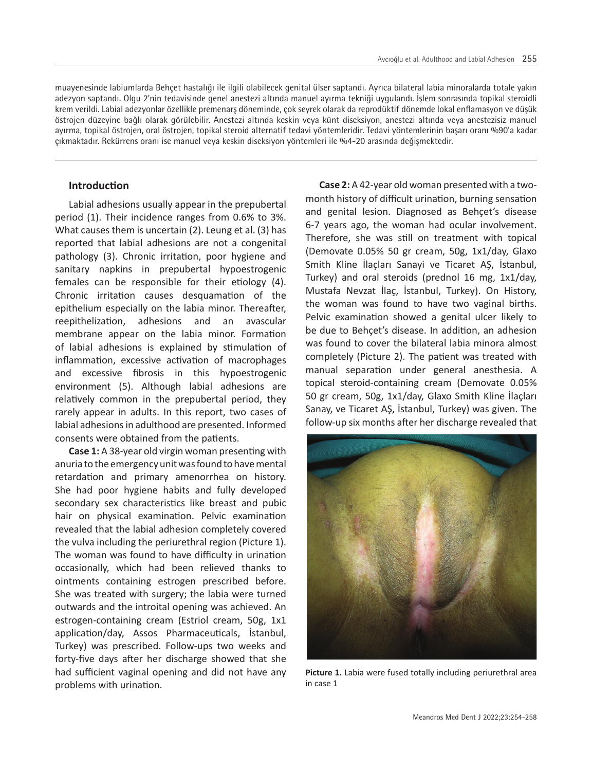muayenesinde labiumlarda Behçet hastalığı ile ilgili olabilecek genital ülser saptandı. Ayrıca bilateral labia minoralarda totale yakın adezyon saptandı. Olgu 2'nin tedavisinde genel anestezi altında manuel ayırma tekniği uygulandı. İşlem sonrasında topikal steroidli krem verildi. Labial adezyonlar özellikle premenarş döneminde, çok seyrek olarak da reprodüktif dönemde lokal enflamasyon ve düşük östrojen düzeyine bağlı olarak görülebilir. Anestezi altında keskin veya künt diseksiyon, anestezi altında veya anestezisiz manuel ayırma, topikal östrojen, oral östrojen, topikal steroid alternatif tedavi yöntemleridir. Tedavi yöntemlerinin başarı oranı %90'a kadar çıkmaktadır. Rekürrens oranı ise manuel veya keskin diseksiyon yöntemleri ile %4-20 arasında değişmektedir.

### **Introduction**

Labial adhesions usually appear in the prepubertal period (1). Their incidence ranges from 0.6% to 3%. What causes them is uncertain (2). Leung et al. (3) has reported that labial adhesions are not a congenital pathology (3). Chronic irritation, poor hygiene and sanitary napkins in prepubertal hypoestrogenic females can be responsible for their etiology (4). Chronic irritation causes desquamation of the epithelium especially on the labia minor. Thereafter, reepithelization, adhesions and an avascular membrane appear on the labia minor. Formation of labial adhesions is explained by stimulation of inflammation, excessive activation of macrophages and excessive fibrosis in this hypoestrogenic environment (5). Although labial adhesions are relatively common in the prepubertal period, they rarely appear in adults. In this report, two cases of labial adhesions in adulthood are presented. Informed consents were obtained from the patients.

**Case 1:** A 38-year old virgin woman presenting with anuria to the emergency unit was found to have mental retardation and primary amenorrhea on history. She had poor hygiene habits and fully developed secondary sex characteristics like breast and pubic hair on physical examination. Pelvic examination revealed that the labial adhesion completely covered the vulva including the periurethral region (Picture 1). The woman was found to have difficulty in urination occasionally, which had been relieved thanks to ointments containing estrogen prescribed before. She was treated with surgery; the labia were turned outwards and the introital opening was achieved. An estrogen-containing cream (Estriol cream, 50g, 1x1 application/day, Assos Pharmaceuticals, İstanbul, Turkey) was prescribed. Follow-ups two weeks and forty-five days after her discharge showed that she had sufficient vaginal opening and did not have any problems with urination.

**Case 2:** A 42-year old woman presented with a twomonth history of difficult urination, burning sensation and genital lesion. Diagnosed as Behçet's disease 6-7 years ago, the woman had ocular involvement. Therefore, she was still on treatment with topical (Demovate 0.05% 50 gr cream, 50g, 1x1/day, Glaxo Smith Kline İlaçları Sanayi ve Ticaret AŞ, İstanbul, Turkey) and oral steroids (prednol 16 mg, 1x1/day, Mustafa Nevzat İlaç, İstanbul, Turkey). On History, the woman was found to have two vaginal births. Pelvic examination showed a genital ulcer likely to be due to Behçet's disease. In addition, an adhesion was found to cover the bilateral labia minora almost completely (Picture 2). The patient was treated with manual separation under general anesthesia. A topical steroid-containing cream (Demovate 0.05% 50 gr cream, 50g, 1x1/day, Glaxo Smith Kline İlaçları Sanay, ve Ticaret AŞ, İstanbul, Turkey) was given. The follow-up six months after her discharge revealed that



**Picture 1.** Labia were fused totally including periurethral area in case 1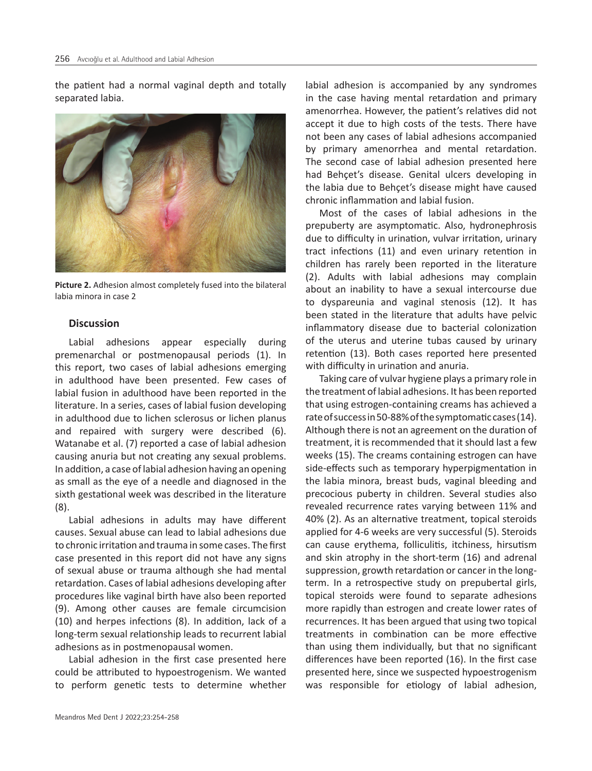the patient had a normal vaginal depth and totally separated labia.



**Picture 2.** Adhesion almost completely fused into the bilateral labia minora in case 2

#### **Discussion**

Labial adhesions appear especially during premenarchal or postmenopausal periods (1). In this report, two cases of labial adhesions emerging in adulthood have been presented. Few cases of labial fusion in adulthood have been reported in the literature. In a series, cases of labial fusion developing in adulthood due to lichen sclerosus or lichen planus and repaired with surgery were described (6). Watanabe et al. (7) reported a case of labial adhesion causing anuria but not creating any sexual problems. In addition, a case of labial adhesion having an opening as small as the eye of a needle and diagnosed in the sixth gestational week was described in the literature (8).

Labial adhesions in adults may have different causes. Sexual abuse can lead to labial adhesions due to chronic irritation and trauma in some cases. The first case presented in this report did not have any signs of sexual abuse or trauma although she had mental retardation. Cases of labial adhesions developing after procedures like vaginal birth have also been reported (9). Among other causes are female circumcision (10) and herpes infections (8). In addition, lack of a long-term sexual relationship leads to recurrent labial adhesions as in postmenopausal women.

Labial adhesion in the first case presented here could be attributed to hypoestrogenism. We wanted to perform genetic tests to determine whether

labial adhesion is accompanied by any syndromes in the case having mental retardation and primary amenorrhea. However, the patient's relatives did not accept it due to high costs of the tests. There have not been any cases of labial adhesions accompanied by primary amenorrhea and mental retardation. The second case of labial adhesion presented here had Behçet's disease. Genital ulcers developing in the labia due to Behçet's disease might have caused chronic inflammation and labial fusion.

Most of the cases of labial adhesions in the prepuberty are asymptomatic. Also, hydronephrosis due to difficulty in urination, vulvar irritation, urinary tract infections (11) and even urinary retention in children has rarely been reported in the literature (2). Adults with labial adhesions may complain about an inability to have a sexual intercourse due to dyspareunia and vaginal stenosis (12). It has been stated in the literature that adults have pelvic inflammatory disease due to bacterial colonization of the uterus and uterine tubas caused by urinary retention (13). Both cases reported here presented with difficulty in urination and anuria.

Taking care of vulvar hygiene plays a primary role in the treatment of labial adhesions. It has been reported that using estrogen-containing creams has achieved a rate of success in 50-88% of the symptomatic cases (14). Although there is not an agreement on the duration of treatment, it is recommended that it should last a few weeks (15). The creams containing estrogen can have side-effects such as temporary hyperpigmentation in the labia minora, breast buds, vaginal bleeding and precocious puberty in children. Several studies also revealed recurrence rates varying between 11% and 40% (2). As an alternative treatment, topical steroids applied for 4-6 weeks are very successful (5). Steroids can cause erythema, folliculitis, itchiness, hirsutism and skin atrophy in the short-term (16) and adrenal suppression, growth retardation or cancer in the longterm. In a retrospective study on prepubertal girls, topical steroids were found to separate adhesions more rapidly than estrogen and create lower rates of recurrences. It has been argued that using two topical treatments in combination can be more effective than using them individually, but that no significant differences have been reported (16). In the first case presented here, since we suspected hypoestrogenism was responsible for etiology of labial adhesion,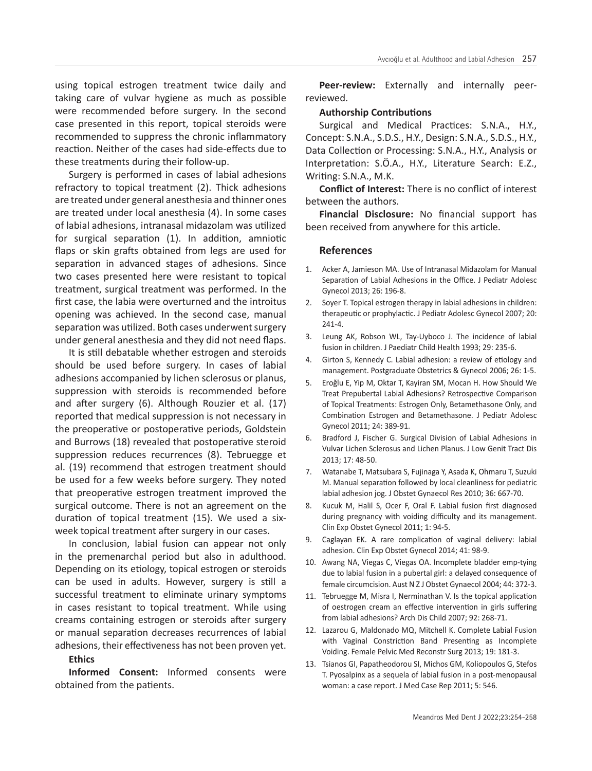using topical estrogen treatment twice daily and taking care of vulvar hygiene as much as possible were recommended before surgery. In the second case presented in this report, topical steroids were recommended to suppress the chronic inflammatory reaction. Neither of the cases had side-effects due to these treatments during their follow-up.

Surgery is performed in cases of labial adhesions refractory to topical treatment (2). Thick adhesions are treated under general anesthesia and thinner ones are treated under local anesthesia (4). In some cases of labial adhesions, intranasal midazolam was utilized for surgical separation (1). In addition, amniotic flaps or skin grafts obtained from legs are used for separation in advanced stages of adhesions. Since two cases presented here were resistant to topical treatment, surgical treatment was performed. In the first case, the labia were overturned and the introitus opening was achieved. In the second case, manual separation was utilized. Both cases underwent surgery under general anesthesia and they did not need flaps.

It is still debatable whether estrogen and steroids should be used before surgery. In cases of labial adhesions accompanied by lichen sclerosus or planus, suppression with steroids is recommended before and after surgery (6). Although Rouzier et al. (17) reported that medical suppression is not necessary in the preoperative or postoperative periods, Goldstein and Burrows (18) revealed that postoperative steroid suppression reduces recurrences (8). Tebruegge et al. (19) recommend that estrogen treatment should be used for a few weeks before surgery. They noted that preoperative estrogen treatment improved the surgical outcome. There is not an agreement on the duration of topical treatment (15). We used a sixweek topical treatment after surgery in our cases.

In conclusion, labial fusion can appear not only in the premenarchal period but also in adulthood. Depending on its etiology, topical estrogen or steroids can be used in adults. However, surgery is still a successful treatment to eliminate urinary symptoms in cases resistant to topical treatment. While using creams containing estrogen or steroids after surgery or manual separation decreases recurrences of labial adhesions, their effectiveness has not been proven yet.

#### **Ethics**

**Informed Consent:** Informed consents were obtained from the patients.

**Peer-review:** Externally and internally peerreviewed.

#### **Authorship Contributions**

Surgical and Medical Practices: S.N.A., H.Y., Concept: S.N.A., S.D.S., H.Y., Design: S.N.A., S.D.S., H.Y., Data Collection or Processing: S.N.A., H.Y., Analysis or Interpretation: S.Ö.A., H.Y., Literature Search: E.Z., Writing: S.N.A., M.K.

**Conflict of Interest:** There is no conflict of interest between the authors.

**Financial Disclosure:** No financial support has been received from anywhere for this article.

#### **References**

- 1. Acker A, Jamieson MA. Use of Intranasal Midazolam for Manual Separation of Labial Adhesions in the Office. J Pediatr Adolesc Gynecol 2013; 26: 196-8.
- 2. Soyer T. Topical estrogen therapy in labial adhesions in children: therapeutic or prophylactic. J Pediatr Adolesc Gynecol 2007; 20: 241-4.
- 3. Leung AK, Robson WL, Tay-Uyboco J. The incidence of labial fusion in children. J Paediatr Child Health 1993; 29: 235-6.
- 4. Girton S, Kennedy C. Labial adhesion: a review of etiology and management. Postgraduate Obstetrics & Gynecol 2006; 26: 1-5.
- 5. Eroğlu E, Yip M, Oktar T, Kayiran SM, Mocan H. How Should We Treat Prepubertal Labial Adhesions? Retrospective Comparison of Topical Treatments: Estrogen Only, Betamethasone Only, and Combination Estrogen and Betamethasone. J Pediatr Adolesc Gynecol 2011; 24: 389-91.
- 6. Bradford J, Fischer G. Surgical Division of Labial Adhesions in Vulvar Lichen Sclerosus and Lichen Planus. J Low Genit Tract Dis 2013; 17: 48-50.
- 7. Watanabe T, Matsubara S, Fujinaga Y, Asada K, Ohmaru T, Suzuki M. Manual separation followed by local cleanliness for pediatric labial adhesion jog. J Obstet Gynaecol Res 2010; 36: 667-70.
- 8. Kucuk M, Halil S, Ocer F, Oral F. Labial fusion first diagnosed during pregnancy with voiding difficulty and its management. Clin Exp Obstet Gynecol 2011; 1: 94-5.
- 9. Caglayan EK. A rare complication of vaginal delivery: labial adhesion. Clin Exp Obstet Gynecol 2014; 41: 98-9.
- 10. Awang NA, Viegas C, Viegas OA. Incomplete bladder emp-tying due to labial fusion in a pubertal girl: a delayed consequence of female circumcision. Aust N Z J Obstet Gynaecol 2004; 44: 372-3.
- 11. Tebruegge M, Misra I, Nerminathan V. Is the topical application of oestrogen cream an effective intervention in girls suffering from labial adhesions? Arch Dis Child 2007; 92: 268-71.
- 12. Lazarou G, Maldonado MQ, Mitchell K. Complete Labial Fusion with Vaginal Constriction Band Presenting as Incomplete Voiding. Female Pelvic Med Reconstr Surg 2013; 19: 181-3.
- 13. Tsianos GI, Papatheodorou SI, Michos GM, Koliopoulos G, Stefos T. Pyosalpinx as a sequela of labial fusion in a post-menopausal woman: a case report. J Med Case Rep 2011; 5: 546.